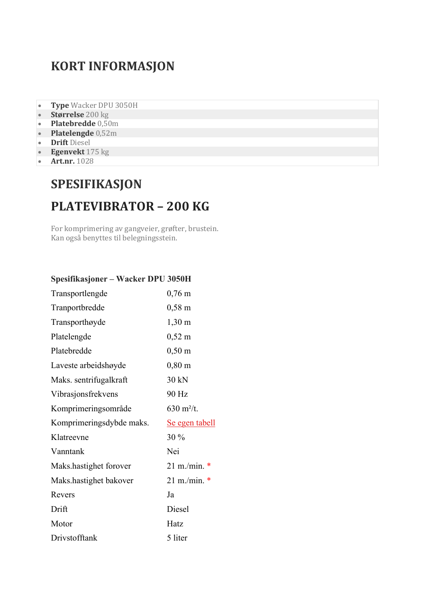## **KORT INFORMASJON**

- **Type** Wacker DPU 3050H
- **Størrelse** 200 kg
- **Platebredde** 0,50m
- **Platelengde** 0,52m
- **Drift** Diesel
- **Egenvekt** 175 kg
- **Art.nr.** 1028

## **SPESIFIKASJON PLATEVIBRATOR – 200 KG**

For komprimering av gangveier, grøfter, brustein. Kan også benyttes til belegningsstein.

| Spesifikasjoner – Wacker DPU 3050H |                       |  |
|------------------------------------|-----------------------|--|
| Transportlengde                    | $0,76 \; \mathrm{m}$  |  |
| Tranportbredde                     | $0,58 \text{ m}$      |  |
| Transporthøyde                     | $1,30 \; \text{m}$    |  |
| Platelengde                        | $0,52 \; \mathrm{m}$  |  |
| Platebredde                        | $0,50 \; \text{m}$    |  |
| Laveste arbeidshøyde               | $0,80 \text{ m}$      |  |
| Maks. sentrifugalkraft             | 30 kN                 |  |
| Vibrasjonsfrekvens                 | 90 Hz                 |  |
| Komprimeringsområde                | 630 $m^2/t$ .         |  |
| Komprimeringsdybde maks.           | <u>Se egen tabell</u> |  |
| Klatreevne                         | 30%                   |  |
| Vanntank                           | Nei                   |  |
| Maks.hastighet forover             | $21 \text{ m/min.}$ * |  |
| Maks.hastighet bakover             | $21 \text{ m/min.}$ * |  |
| Revers                             | Ja                    |  |
| Drift                              | Diesel                |  |
| Motor                              | Hatz                  |  |
| Drivstofftank                      | 5 liter               |  |
|                                    |                       |  |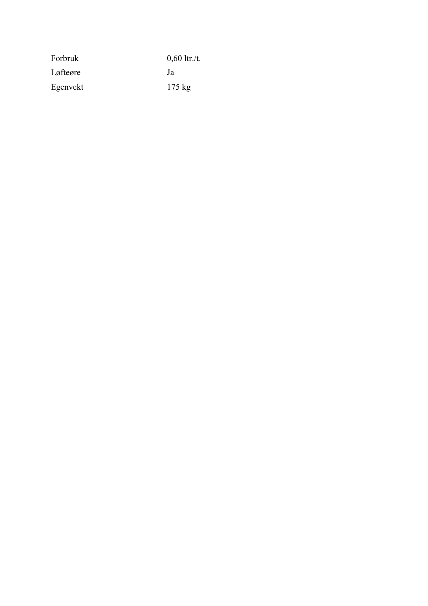| Forbruk  | $0,60$ ltr./t.   |
|----------|------------------|
| Løfteøre | .la              |
| Egenvekt | $175 \text{ kg}$ |